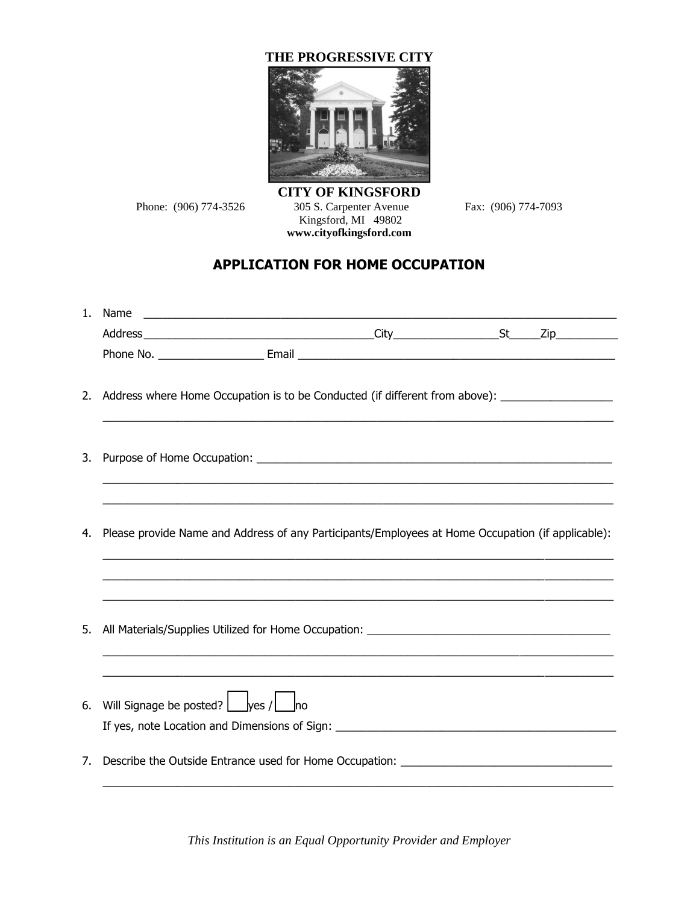## **THE PROGRESSIVE CITY**



**CITY OF KINGSFORD** Phone: (906) 774-3526 305 S. Carpenter Avenue Fax: (906) 774-7093 Kingsford, MI 49802 **[www.cityofkingsford.com](http://www.cityofkingsford.com/)**

## **APPLICATION FOR HOME OCCUPATION**

|    | 2. Address where Home Occupation is to be Conducted (if different from above): ____________________ |                                                                                                                       |  |  |  |
|----|-----------------------------------------------------------------------------------------------------|-----------------------------------------------------------------------------------------------------------------------|--|--|--|
| 3. |                                                                                                     |                                                                                                                       |  |  |  |
| 4. | Please provide Name and Address of any Participants/Employees at Home Occupation (if applicable):   | <u> 1989 - Johann Harry Harry Harry Harry Harry Harry Harry Harry Harry Harry Harry Harry Harry Harry Harry Harry</u> |  |  |  |
|    |                                                                                                     |                                                                                                                       |  |  |  |
|    |                                                                                                     | <u> 1989 - Johann Stoff, amerikansk politik (d. 1989)</u>                                                             |  |  |  |
|    | 6. Will Signage be posted? $\Box$ yes / $\Box$ no                                                   |                                                                                                                       |  |  |  |
|    | 7. Describe the Outside Entrance used for Home Occupation: _____________________                    |                                                                                                                       |  |  |  |

*This Institution is an Equal Opportunity Provider and Employer*